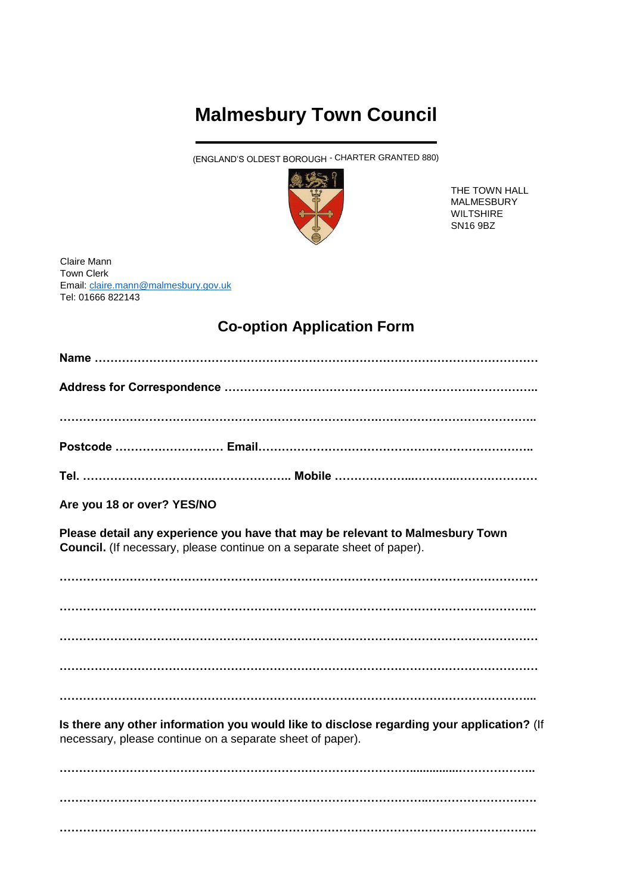## **Malmesbury Town Council**

(ENGLAND'S OLDEST BOROUGH - CHARTER GRANTED 880)



THE TOWN HALL MALMESBURY WILTSHIRE SN16 9BZ

Claire Mann Town Clerk Email: [claire.mann@malmesbury.gov.uk](mailto:claire.mann@malmesbury.gov.uk) Tel: 01666 822143

## **Co-option Application Form**

| Are you 18 or over? YES/NO                                                                                                                              |
|---------------------------------------------------------------------------------------------------------------------------------------------------------|
| Please detail any experience you have that may be relevant to Malmesbury Town<br>Council. (If necessary, please continue on a separate sheet of paper). |
|                                                                                                                                                         |
|                                                                                                                                                         |
|                                                                                                                                                         |
|                                                                                                                                                         |
|                                                                                                                                                         |
| Is there any other information you would like to disclose regarding your application? (If<br>necessary, please continue on a separate sheet of paper).  |

**………………………………………………………………………………...............……………….. …………………………………………………………………………………..………………………. ……………………………………………….…………………………………………………………..**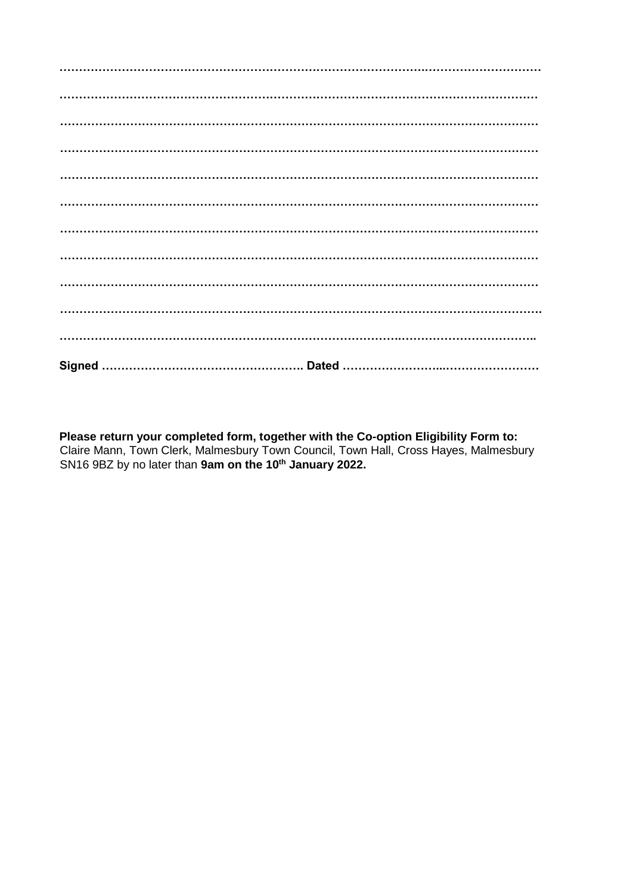Please return your completed form, together with the Co-option Eligibility Form to:<br>Claire Mann, Town Clerk, Malmesbury Town Council, Town Hall, Cross Hayes, Malmesbury<br>SN16 9BZ by no later than 9am on the 10<sup>th</sup> January 2